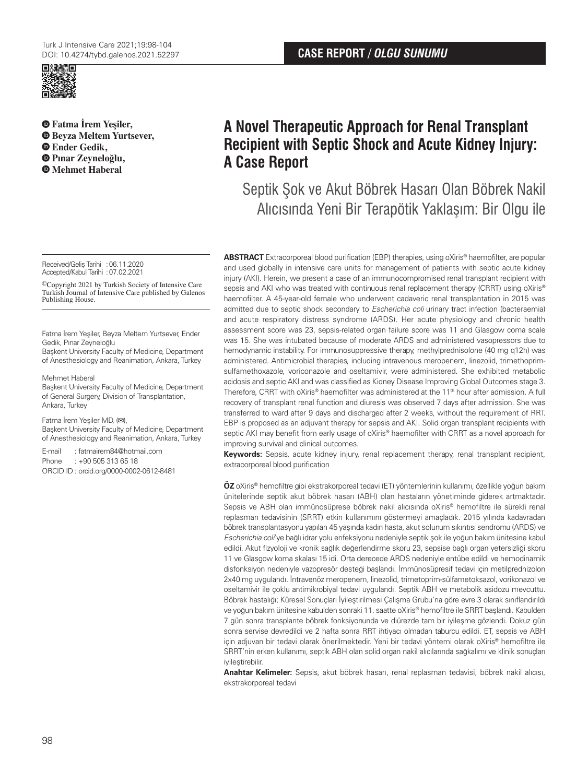

**Fatma İrem Yeşiler, Beyza Meltem Yurtsever, Ender Gedik, Pınar Zeyneloğlu, Mehmet Haberal**

Received/Gelis Tarihi : 06.11.2020 Accepted/Kabul Tarihi :07.02.2021

©Copyright 2021 by Turkish Society of Intensive Care Turkish Journal of Intensive Care published by Galenos Publishing House.

Fatma İrem Yeşiler, Beyza Meltem Yurtsever, Ender Gedik, Pınar Zeyneloğlu

Başkent University Faculty of Medicine, Department of Anesthesiology and Reanimation, Ankara, Turkey

Mehmet Haberal

Başkent University Faculty of Medicine, Department of General Surgery, Division of Transplantation, Ankara, Turkey

Fatma İrem Yeşiler MD, (**✉**), Başkent University Faculty of Medicine, Department of Anesthesiology and Reanimation, Ankara, Turkey

E-mail : fatmairem84@hotmail.com Phone : +90 505 313 65 18 ORCID ID : orcid.org/0000-0002-0612-8481

# **A Novel Therapeutic Approach for Renal Transplant Recipient with Septic Shock and Acute Kidney Injury: A Case Report**

Septik Şok ve Akut Böbrek Hasarı Olan Böbrek Nakil Alıcısında Yeni Bir Terapötik Yaklaşım: Bir Olgu ile

**ABSTRACT** Extracorporeal blood purification (EBP) therapies, using oXiris® haemofilter, are popular and used globally in intensive care units for management of patients with septic acute kidney injury (AKI). Herein, we present a case of an immunocompromised renal transplant recipient with sepsis and AKI who was treated with continuous renal replacement therapy (CRRT) using oXiris® haemofilter. A 45-year-old female who underwent cadaveric renal transplantation in 2015 was admitted due to septic shock secondary to Escherichia coli urinary tract infection (bacteraemia) and acute respiratory distress syndrome (ARDS). Her acute physiology and chronic health assessment score was 23, sepsis-related organ failure score was 11 and Glasgow coma scale was 15. She was intubated because of moderate ARDS and administered vasopressors due to hemodynamic instability. For immunosuppressive therapy, methylprednisolone (40 mg q12h) was administered. Antimicrobial therapies, including intravenous meropenem, linezolid, trimethoprimsulfamethoxazole, voriconazole and oseltamivir, were administered. She exhibited metabolic acidosis and septic AKI and was classified as Kidney Disease Improving Global Outcomes stage 3. Therefore, CRRT with oXiris® haemofilter was administered at the 11<sup>th</sup> hour after admission. A full recovery of transplant renal function and diuresis was observed 7 days after admission. She was transferred to ward after 9 days and discharged after 2 weeks, without the requirement of RRT. EBP is proposed as an adjuvant therapy for sepsis and AKI. Solid organ transplant recipients with septic AKI may benefit from early usage of oXiris® haemofilter with CRRT as a novel approach for improving survival and clinical outcomes.

**Keywords:** Sepsis, acute kidney injury, renal replacement therapy, renal transplant recipient, extracorporeal blood purification

**ÖZ** oXiris® hemofiltre gibi ekstrakorporeal tedavi (ET) yöntemlerinin kullanımı, özellikle yoğun bakım ünitelerinde septik akut böbrek hasarı (ABH) olan hastaların yönetiminde giderek artmaktadır. Sepsis ve ABH olan immünosüprese böbrek nakil alıcısında oXiris® hemofiltre ile sürekli renal replasman tedavisinin (SRRT) etkin kullanımını göstermeyi amaçladık. 2015 yılında kadavradan böbrek transplantasyonu yapılan 45 yaşında kadın hasta, akut solunum sıkıntısı sendromu (ARDS) ve Escherichia coli'ye bağlı idrar yolu enfeksiyonu nedeniyle septik şok ile yoğun bakım ünitesine kabul edildi. Akut fizyoloji ve kronik sağlık değerlendirme skoru 23, sepsise bağlı organ yetersizliği skoru 11 ve Glasgow koma skalası 15 idi. Orta derecede ARDS nedeniyle entübe edildi ve hemodinamik disfonksiyon nedeniyle vazopresör desteği başlandı. İmmünosüpresif tedavi için metilprednizolon 2x40 mg uygulandı. İntravenöz meropenem, linezolid, trimetoprim-sülfametoksazol, vorikonazol ve oseltamivir ile çoklu antimikrobiyal tedavi uygulandı. Septik ABH ve metabolik asidozu mevcuttu. Böbrek hastalığı; Küresel Sonuçları İyileştirilmesi Çalışma Grubu'na göre evre 3 olarak sınıflandırıldı ve yoğun bakım ünitesine kabulden sonraki 11. saatte oXiris® hemofiltre ile SRRT başlandı. Kabulden 7 gün sonra transplante böbrek fonksiyonunda ve diürezde tam bir iyileşme gözlendi. Dokuz gün sonra servise devredildi ve 2 hafta sonra RRT ihtiyacı olmadan taburcu edildi. ET, sepsis ve ABH için adjuvan bir tedavi olarak önerilmektedir. Yeni bir tedavi yöntemi olarak oXiris® hemofiltre ile SRRT'nin erken kullanımı, septik ABH olan solid organ nakil alıcılarında sağkalımı ve klinik sonuçları *ivilestirebilir.* 

**Anahtar Kelimeler:** Sepsis, akut böbrek hasarı, renal replasman tedavisi, böbrek nakil alıcısı, ekstrakorporeal tedavi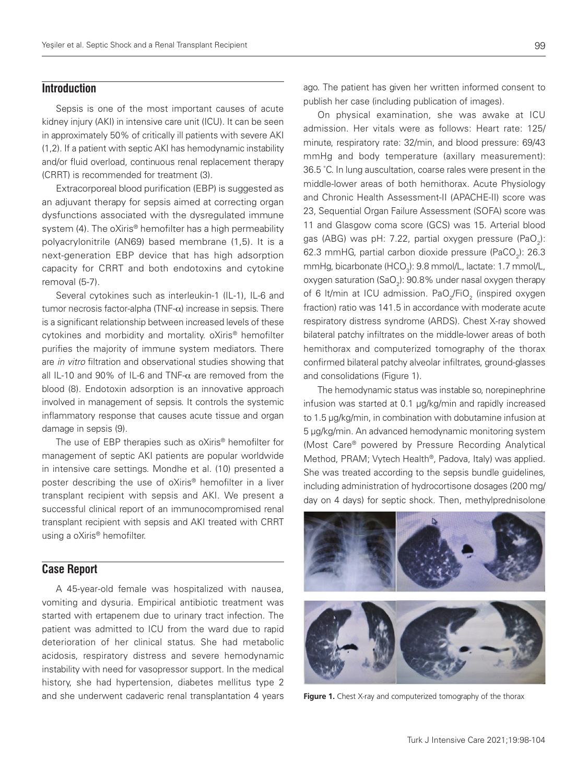#### **Introduction**

Sepsis is one of the most important causes of acute kidney injury (AKI) in intensive care unit (ICU). It can be seen in approximately 50% of critically ill patients with severe AKI (1,2). If a patient with septic AKI has hemodynamic instability and/or fluid overload, continuous renal replacement therapy (CRRT) is recommended for treatment (3).

Extracorporeal blood purification (EBP) is suggested as an adjuvant therapy for sepsis aimed at correcting organ dysfunctions associated with the dysregulated immune system (4). The oXiris® hemofilter has a high permeability polyacrylonitrile (AN69) based membrane (1,5). It is a next-generation EBP device that has high adsorption capacity for CRRT and both endotoxins and cytokine removal (5-7).

Several cytokines such as interleukin-1 (IL-1), IL-6 and tumor necrosis factor-alpha (TNF- $\alpha$ ) increase in sepsis. There is a significant relationship between increased levels of these cytokines and morbidity and mortality. oXiris® hemofilter purifies the majority of immune system mediators. There are in vitro filtration and observational studies showing that all IL-10 and 90% of IL-6 and TNF- $\alpha$  are removed from the blood (8). Endotoxin adsorption is an innovative approach involved in management of sepsis. It controls the systemic inflammatory response that causes acute tissue and organ damage in sepsis (9).

The use of EBP therapies such as oXiris® hemofilter for management of septic AKI patients are popular worldwide in intensive care settings. Mondhe et al. (10) presented a poster describing the use of oXiris® hemofilter in a liver transplant recipient with sepsis and AKI. We present a successful clinical report of an immunocompromised renal transplant recipient with sepsis and AKI treated with CRRT using a oXiris® hemofilter.

## **Case Report**

A 45-year-old female was hospitalized with nausea, vomiting and dysuria. Empirical antibiotic treatment was started with ertapenem due to urinary tract infection. The patient was admitted to ICU from the ward due to rapid deterioration of her clinical status. She had metabolic acidosis, respiratory distress and severe hemodynamic instability with need for vasopressor support. In the medical history, she had hypertension, diabetes mellitus type 2 and she underwent cadaveric renal transplantation 4 years

On physical examination, she was awake at ICU admission. Her vitals were as follows: Heart rate: 125/ minute, respiratory rate: 32/min, and blood pressure: 69/43 mmHg and body temperature (axillary measurement): 36.5 ˚C. In lung auscultation, coarse rales were present in the middle-lower areas of both hemithorax. Acute Physiology and Chronic Health Assessment-II (APACHE-II) score was 23, Sequential Organ Failure Assessment (SOFA) score was 11 and Glasgow coma score (GCS) was 15. Arterial blood gas (ABG) was pH: 7.22, partial oxygen pressure (PaO<sub>2</sub>): 62.3 mmHG, partial carbon dioxide pressure (PaCO<sub>2</sub>): 26.3 mmHg, bicarbonate (HCO<sub>3</sub>): 9.8 mmol/L, lactate: 1.7 mmol/L, oxygen saturation (SaO $_{\rm 2}$ ): 90.8% under nasal oxygen therapy of 6 lt/min at ICU admission. PaO<sub>2</sub>/FiO<sub>2</sub> (inspired oxygen fraction) ratio was 141.5 in accordance with moderate acute respiratory distress syndrome (ARDS). Chest X-ray showed bilateral patchy infiltrates on the middle-lower areas of both hemithorax and computerized tomography of the thorax confirmed bilateral patchy alveolar infiltrates, ground-glasses and consolidations (Figure 1).

The hemodynamic status was instable so, norepinephrine infusion was started at 0.1 µg/kg/min and rapidly increased to 1.5 µg/kg/min, in combination with dobutamine infusion at 5 µg/kg/min. An advanced hemodynamic monitoring system (Most Care® powered by Pressure Recording Analytical Method, PRAM; Vytech Health®, Padova, Italy) was applied. She was treated according to the sepsis bundle guidelines, including administration of hydrocortisone dosages (200 mg/ day on 4 days) for septic shock. Then, methylprednisolone



**Figure 1.** Chest X-ray and computerized tomography of the thorax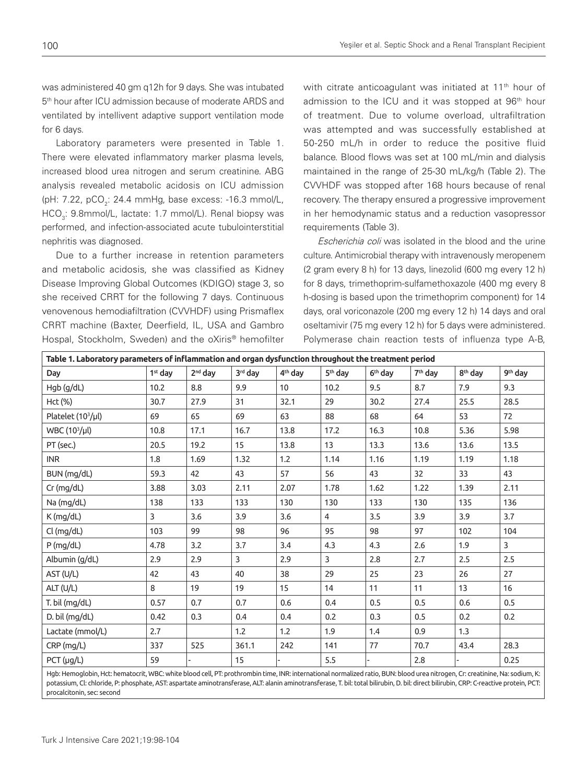was administered 40 gm q12h for 9 days. She was intubated 5th hour after ICU admission because of moderate ARDS and ventilated by intellivent adaptive support ventilation mode for 6 days.

Laboratory parameters were presented in Table 1. There were elevated inflammatory marker plasma levels, increased blood urea nitrogen and serum creatinine. ABG analysis revealed metabolic acidosis on ICU admission (pH: 7.22, pCO<sub>2</sub>: 24.4 mmHg, base excess: -16.3 mmol/L, HCO<sub>3</sub>: 9.8mmol/L, lactate: 1.7 mmol/L). Renal biopsy was performed, and infection-associated acute tubulointerstitial nephritis was diagnosed.

Due to a further increase in retention parameters and metabolic acidosis, she was classified as Kidney Disease Improving Global Outcomes (KDIGO) stage 3, so she received CRRT for the following 7 days. Continuous venovenous hemodiafiltration (CVVHDF) using Prismaflex CRRT machine (Baxter, Deerfield, IL, USA and Gambro Hospal, Stockholm, Sweden) and the oXiris® hemofilter with citrate anticoagulant was initiated at 11<sup>th</sup> hour of admission to the ICU and it was stopped at 96<sup>th</sup> hour of treatment. Due to volume overload, ultrafiltration was attempted and was successfully established at 50-250 mL/h in order to reduce the positive fluid balance. Blood flows was set at 100 mL/min and dialysis maintained in the range of 25-30 mL/kg/h (Table 2). The CVVHDF was stopped after 168 hours because of renal recovery. The therapy ensured a progressive improvement in her hemodynamic status and a reduction vasopressor requirements (Table 3).

Escherichia coli was isolated in the blood and the urine culture. Antimicrobial therapy with intravenously meropenem (2 gram every 8 h) for 13 days, linezolid (600 mg every 12 h) for 8 days, trimethoprim-sulfamethoxazole (400 mg every 8 h-dosing is based upon the trimethoprim component) for 14 days, oral voriconazole (200 mg every 12 h) 14 days and oral oseltamivir (75 mg every 12 h) for 5 days were administered. Polymerase chain reaction tests of influenza type A-B,

| Table 1. Laboratory parameters of inflammation and organ dysfunction throughout the treatment period |                     |                     |         |                     |                     |                     |                     |                     |                     |
|------------------------------------------------------------------------------------------------------|---------------------|---------------------|---------|---------------------|---------------------|---------------------|---------------------|---------------------|---------------------|
| Day                                                                                                  | 1 <sup>st</sup> day | 2 <sup>nd</sup> dav | 3rd day | 4 <sup>th</sup> dav | 5 <sup>th</sup> day | 6 <sup>th</sup> day | 7 <sup>th</sup> day | 8 <sup>th</sup> day | 9 <sup>th</sup> day |
| Hgb (g/dL)                                                                                           | 10.2                | 8.8                 | 9.9     | 10                  | 10.2                | 9.5                 | 8.7                 | 7.9                 | 9.3                 |
| Hct (%)                                                                                              | 30.7                | 27.9                | 31      | 32.1                | 29                  | 30.2                | 27.4                | 25.5                | 28.5                |
| Platelet (10 <sup>3</sup> /µl)                                                                       | 69                  | 65                  | 69      | 63                  | 88                  | 68                  | 64                  | 53                  | 72                  |
| WBC (10 <sup>3</sup> /µl)                                                                            | 10.8                | 17.1                | 16.7    | 13.8                | 17.2                | 16.3                | 10.8                | 5.36                | 5.98                |
| PT (sec.)                                                                                            | 20.5                | 19.2                | 15      | 13.8                | 13                  | 13.3                | 13.6                | 13.6                | 13.5                |
| <b>INR</b>                                                                                           | 1.8                 | 1.69                | 1.32    | 1.2                 | 1.14                | 1.16                | 1.19                | 1.19                | 1.18                |
| BUN (mg/dL)                                                                                          | 59.3                | 42                  | 43      | 57                  | 56                  | 43                  | 32                  | 33                  | 43                  |
| $Cr$ (mg/dL)                                                                                         | 3.88                | 3.03                | 2.11    | 2.07                | 1.78                | 1.62                | 1.22                | 1.39                | 2.11                |
| Na (mg/dL)                                                                                           | 138                 | 133                 | 133     | 130                 | 130                 | 133                 | 130                 | 135                 | 136                 |
| K (mg/dL)                                                                                            | 3                   | 3.6                 | 3.9     | 3.6                 | 4                   | 3.5                 | 3.9                 | 3.9                 | 3.7                 |
| Cl (mg/dL)                                                                                           | 103                 | 99                  | 98      | 96                  | 95                  | 98                  | 97                  | 102                 | 104                 |
| $P$ (mg/dL)                                                                                          | 4.78                | 3.2                 | 3.7     | 3.4                 | 4.3                 | 4.3                 | 2.6                 | 1.9                 | 3                   |
| Albumin (g/dL)                                                                                       | 2.9                 | 2.9                 | 3       | 2.9                 | 3                   | 2.8                 | 2.7                 | 2.5                 | 2.5                 |
| AST (U/L)                                                                                            | 42                  | 43                  | 40      | 38                  | 29                  | 25                  | 23                  | 26                  | 27                  |
| ALT (U/L)                                                                                            | 8                   | 19                  | 19      | 15                  | 14                  | 11                  | 11                  | 13                  | 16                  |
| T. bil (mg/dL)                                                                                       | 0.57                | 0.7                 | 0.7     | 0.6                 | 0.4                 | 0.5                 | 0.5                 | 0.6                 | 0.5                 |
| D. bil (mg/dL)                                                                                       | 0.42                | 0.3                 | 0.4     | 0.4                 | 0.2                 | 0.3                 | 0.5                 | 0.2                 | 0.2                 |
| Lactate (mmol/L)                                                                                     | 2.7                 |                     | 1.2     | 1.2                 | 1.9                 | 1.4                 | 0.9                 | 1.3                 |                     |
| CRP (mg/L)                                                                                           | 337                 | 525                 | 361.1   | 242                 | 141                 | 77                  | 70.7                | 43.4                | 28.3                |
| PCT (µg/L)                                                                                           | 59                  |                     | 15      |                     | 5.5                 |                     | 2.8                 |                     | 0.25                |

Hgb: Hemoglobin, Hct: hematocrit, WBC: white blood cell, PT: prothrombin time, INR: international normalized ratio, BUN: blood urea nitrogen, Cr: creatinine, Na: sodium, K: potassium, Cl: chloride, P: phosphate, AST: aspartate aminotransferase, ALT: alanin aminotransferase, T. bil: total bilirubin, D. bil: direct bilirubin, CRP: C-reactive protein, PCT: procalcitonin, sec: second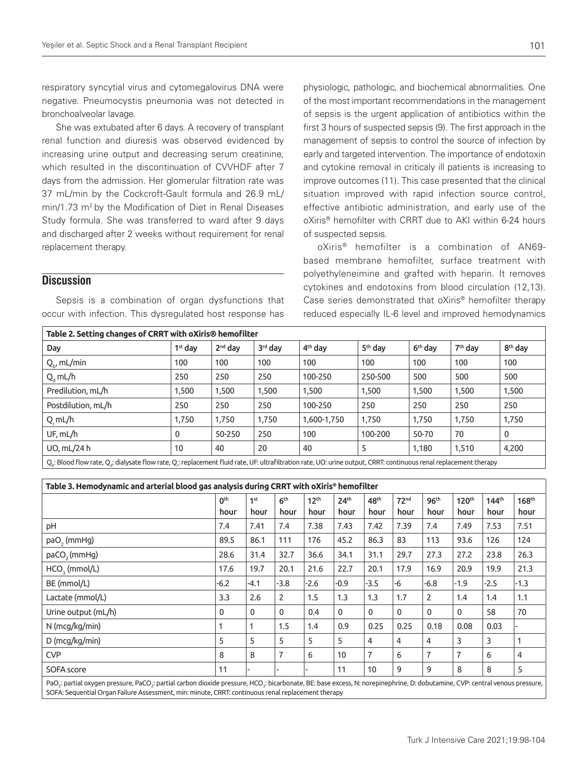respiratory syncytial virus and cytomegalovirus DNA were negative. Pneumocystis pneumonia was not detected in bronchoalveolar lavage.

She was extubated after 6 days. A recovery of transplant renal function and diuresis was observed evidenced by increasing urine output and decreasing serum creatinine, which resulted in the discontinuation of CVVHDF after 7 days from the admission. Her glomerular filtration rate was 37 mL/min by the Cockcroft-Gault formula and 26.9 mL/ min/1.73 m<sup>2</sup> by the Modification of Diet in Renal Diseases Study formula. She was transferred to ward after 9 days and discharged after 2 weeks without requirement for renal replacement therapy.

#### **Discussion**

Sepsis is a combination of organ dysfunctions that occur with infection. This dysregulated host response has

physiologic, pathologic, and biochemical abnormalities. One of the most important recommendations in the management of sepsis is the urgent application of antibiotics within the first 3 hours of suspected sepsis (9). The first approach in the management of sepsis to control the source of infection by early and targeted intervention. The importance of endotoxin and cytokine removal in criticaly ill patients is increasing to improve outcomes (11). This case presented that the clinical situation improved with rapid infection source control, effective antibiotic administration, and early use of the oXiris® hemofilter with CRRT due to AKI within 6-24 hours of suspected sepsis.

oXiris® hemofilter is a combination of AN69 based membrane hemofilter, surface treatment with polyethyleneimine and grafted with heparin. It removes cytokines and endotoxins from blood circulation (12,13). Case series demonstrated that oXiris® hemofilter therapy reduced especially IL-6 level and improved hemodynamics

| Table 2. Setting changes of CRRT with oXiris® hemofilter                                                                                                         |                     |                     |         |                     |                     |                     |                     |                     |  |
|------------------------------------------------------------------------------------------------------------------------------------------------------------------|---------------------|---------------------|---------|---------------------|---------------------|---------------------|---------------------|---------------------|--|
| Day                                                                                                                                                              | 1 <sup>st</sup> day | 2 <sup>nd</sup> day | 3rd day | 4 <sup>th</sup> day | 5 <sup>th</sup> day | 6 <sup>th</sup> day | 7 <sup>th</sup> day | 8 <sup>th</sup> day |  |
| $Q_{b}$ , mL/min                                                                                                                                                 | 100                 | 100                 | 100     | 100                 | 100                 | 100                 | 100                 | 100                 |  |
| $Q_d$ mL/h                                                                                                                                                       | 250                 | 250                 | 250     | 100-250             | 250-500             | 500                 | 500                 | 500                 |  |
| Predilution, mL/h                                                                                                                                                | 1,500               | 1,500               | 1,500   | 1,500               | 1,500               | 1,500               | 1,500               | 1,500               |  |
| Postdilution, mL/h                                                                                                                                               | 250                 | 250                 | 250     | 100-250             | 250                 | 250                 | 250                 | 250                 |  |
| $Q$ , mL/h                                                                                                                                                       | 1,750               | 1,750               | 1,750   | 1,600-1,750         | 1,750               | 1,750               | 1,750               | 1,750               |  |
| UF, mL/h                                                                                                                                                         | $\mathbf 0$         | 50-250              | 250     | 100                 | 100-200             | 50-70               | 70                  | $\mathbf 0$         |  |
| UO, mL/24 h                                                                                                                                                      | 10                  | 40                  | 20      | 40                  | 5                   | 1,180               | 1,510               | 4,200               |  |
| Q.: Blood flow rate, Q.: dialysate flow rate, Q.: replacement fluid rate, UF: ultrafiltration rate, UO: urine output, CRRT: continuous renal replacement therapy |                     |                     |         |                     |                     |                     |                     |                     |  |

| Table 3. Hemodynamic and arterial blood gas analysis during CRRT with oXiris® hemofilter |  |
|------------------------------------------------------------------------------------------|--|

|                                                                                                                                                                                                                                                                                  | Oth<br>hour | 1st<br>hour | 6 <sup>th</sup><br>hour | 12 <sup>th</sup><br>hour | 24 <sup>th</sup><br>hour | 48 <sup>th</sup><br>hour | 72 <sup>nd</sup><br>hour | 96 <sup>th</sup><br>hour | 120 <sup>th</sup><br>hour | 144 <sup>th</sup><br>hour | 168 <sup>th</sup><br>hour |
|----------------------------------------------------------------------------------------------------------------------------------------------------------------------------------------------------------------------------------------------------------------------------------|-------------|-------------|-------------------------|--------------------------|--------------------------|--------------------------|--------------------------|--------------------------|---------------------------|---------------------------|---------------------------|
| рH                                                                                                                                                                                                                                                                               | 7.4         | 7.41        | 7.4                     | 7.38                     | 7.43                     | 7.42                     | 7.39                     | 7.4                      | 7.49                      | 7.53                      | 7.51                      |
| paO <sub>2</sub> (mmHg)                                                                                                                                                                                                                                                          | 89.5        | 86.1        | 111                     | 176                      | 45.2                     | 86.3                     | 83                       | 113                      | 93.6                      | 126                       | 124                       |
| paCO <sub>2</sub> (mmHg)                                                                                                                                                                                                                                                         | 28.6        | 31.4        | 32.7                    | 36.6                     | 34.1                     | 31.1                     | 29.7                     | 27.3                     | 27.2                      | 23.8                      | 26.3                      |
| HCO <sub>3</sub> (mmol/L)                                                                                                                                                                                                                                                        | 17.6        | 19.7        | 20.1                    | 21.6                     | 22.7                     | 20.1                     | 17.9                     | 16.9                     | 20.9                      | 19.9                      | 21.3                      |
| BE (mmol/L)                                                                                                                                                                                                                                                                      | $-6.2$      | $-4.1$      | $-3.8$                  | $-2.6$                   | $-0.9$                   | $-3.5$                   | -6                       | $-6.8$                   | $-1.9$                    | $-2.5$                    | $-1.3$                    |
| Lactate (mmol/L)                                                                                                                                                                                                                                                                 | 3.3         | 2.6         | $\overline{2}$          | 1.5                      | 1.3                      | 1.3                      | 1.7                      | $\overline{2}$           | 1.4                       | 1.4                       | 1.1                       |
| Urine output (mL/h)                                                                                                                                                                                                                                                              | $\mathbf 0$ | $\Omega$    | $\mathbf 0$             | 0.4                      | $\mathbf{0}$             | $\Omega$                 | $\mathbf{0}$             | $\mathbf 0$              | $\mathbf{0}$              | 58                        | 70                        |
| N (mcg/kg/min)                                                                                                                                                                                                                                                                   |             |             | 1.5                     | 1.4                      | 0.9                      | 0.25                     | 0.25                     | 0.18                     | 0.08                      | 0.03                      |                           |
| D (mcg/kg/min)                                                                                                                                                                                                                                                                   | 5           | 5           | 5                       | 5                        | 5                        | 4                        | 4                        | 4                        | 3                         | 3                         |                           |
| <b>CVP</b>                                                                                                                                                                                                                                                                       | 8           | 8           | $\overline{7}$          | 6                        | 10                       | $\overline{7}$           | 6                        | 7                        | 7                         | 6                         | 4                         |
| SOFA score                                                                                                                                                                                                                                                                       | 11          |             |                         |                          | 11                       | 10                       | 9                        | 9                        | 8                         | 8                         | 5                         |
| PaO,: partial oxygen pressure, PaCO,: partial carbon dioxide pressure, HCO,: bicarbonate, BE: base excess, N: norepinephrine, D: dobutamine, CVP: central venous pressure,<br>SOFA: Sequential Organ Failure Assessment, min: minute, CRRT: continuous renal replacement therapy |             |             |                         |                          |                          |                          |                          |                          |                           |                           |                           |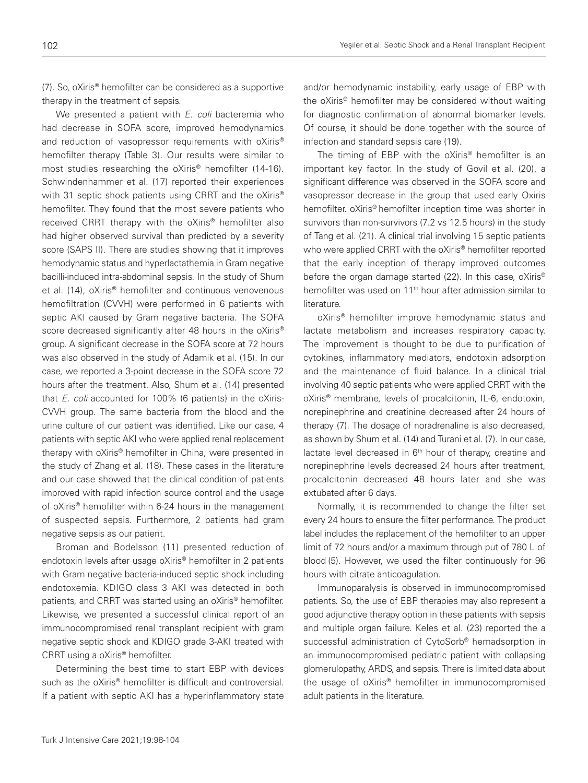(7). So, oXiris® hemofilter can be considered as a supportive therapy in the treatment of sepsis.

We presented a patient with *E. coli* bacteremia who had decrease in SOFA score, improved hemodynamics and reduction of vasopressor requirements with oXiris<sup>®</sup> hemofilter therapy (Table 3). Our results were similar to most studies researching the oXiris® hemofilter (14-16). Schwindenhammer et al. (17) reported their experiences with 31 septic shock patients using CRRT and the oXiris<sup>®</sup> hemofilter. They found that the most severe patients who received CRRT therapy with the oXiris® hemofilter also had higher observed survival than predicted by a severity score (SAPS II). There are studies showing that it improves hemodynamic status and hyperlactathemia in Gram negative bacilli-induced intra-abdominal sepsis. In the study of Shum et al. (14), oXiris® hemofilter and continuous venovenous hemofiltration (CVVH) were performed in 6 patients with septic AKI caused by Gram negative bacteria. The SOFA score decreased significantly after 48 hours in the oXiris<sup>®</sup> group. A significant decrease in the SOFA score at 72 hours was also observed in the study of Adamik et al. (15). In our case, we reported a 3-point decrease in the SOFA score 72 hours after the treatment. Also, Shum et al. (14) presented that *E. coli* accounted for 100% (6 patients) in the oXiris-CVVH group. The same bacteria from the blood and the urine culture of our patient was identified. Like our case, 4 patients with septic AKI who were applied renal replacement therapy with oXiris® hemofilter in China, were presented in the study of Zhang et al. (18). These cases in the literature and our case showed that the clinical condition of patients improved with rapid infection source control and the usage of oXiris® hemofilter within 6-24 hours in the management of suspected sepsis. Furthermore, 2 patients had gram negative sepsis as our patient.

Broman and Bodelsson (11) presented reduction of endotoxin levels after usage oXiris® hemofilter in 2 patients with Gram negative bacteria-induced septic shock including endotoxemia. KDIGO class 3 AKI was detected in both patients, and CRRT was started using an oXiris® hemofilter. Likewise, we presented a successful clinical report of an immunocompromised renal transplant recipient with gram negative septic shock and KDIGO grade 3-AKI treated with CRRT using a oXiris® hemofilter.

Determining the best time to start EBP with devices such as the oXiris® hemofilter is difficult and controversial. If a patient with septic AKI has a hyperinflammatory state

and/or hemodynamic instability, early usage of EBP with the oXiris® hemofilter may be considered without waiting for diagnostic confirmation of abnormal biomarker levels. Of course, it should be done together with the source of infection and standard sepsis care (19).

The timing of EBP with the oXiris<sup>®</sup> hemofilter is an important key factor. In the study of Govil et al. (20), a significant difference was observed in the SOFA score and vasopressor decrease in the group that used early Oxiris hemofilter. oXiris® hemofilter inception time was shorter in survivors than non-survivors (7.2 vs 12.5 hours) in the study of Tang et al. (21). A clinical trial involving 15 septic patients who were applied CRRT with the oXiris® hemofilter reported that the early inception of therapy improved outcomes before the organ damage started (22). In this case, oXiris<sup>®</sup> hemofilter was used on 11<sup>th</sup> hour after admission similar to literature.

oXiris® hemofilter improve hemodynamic status and lactate metabolism and increases respiratory capacity. The improvement is thought to be due to purification of cytokines, inflammatory mediators, endotoxin adsorption and the maintenance of fluid balance. In a clinical trial involving 40 septic patients who were applied CRRT with the oXiris® membrane, levels of procalcitonin, IL-6, endotoxin, norepinephrine and creatinine decreased after 24 hours of therapy (7). The dosage of noradrenaline is also decreased, as shown by Shum et al. (14) and Turani et al. (7). In our case, lactate level decreased in 6<sup>th</sup> hour of therapy, creatine and norepinephrine levels decreased 24 hours after treatment, procalcitonin decreased 48 hours later and she was extubated after 6 days.

Normally, it is recommended to change the filter set every 24 hours to ensure the filter performance. The product label includes the replacement of the hemofilter to an upper limit of 72 hours and/or a maximum through put of 780 L of blood (5). However, we used the filter continuously for 96 hours with citrate anticoagulation.

Immunoparalysis is observed in immunocompromised patients. So, the use of EBP therapies may also represent a good adjunctive therapy option in these patients with sepsis and multiple organ failure. Keles et al. (23) reported the a successful administration of CytoSorb® hemadsorption in an immunocompromised pediatric patient with collapsing glomerulopathy, ARDS, and sepsis. There is limited data about the usage of oXiris® hemofilter in immunocompromised adult patients in the literature.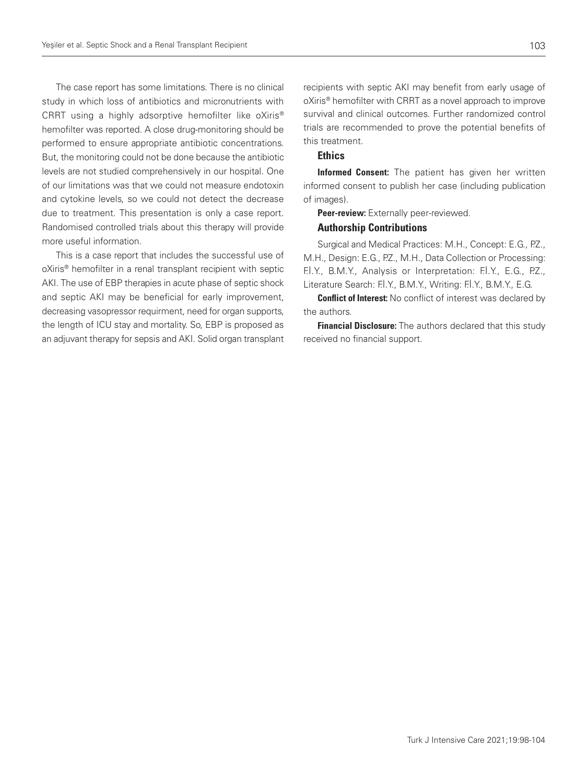The case report has some limitations. There is no clinical study in which loss of antibiotics and micronutrients with CRRT using a highly adsorptive hemofilter like oXiris® hemofilter was reported. A close drug-monitoring should be performed to ensure appropriate antibiotic concentrations. But, the monitoring could not be done because the antibiotic levels are not studied comprehensively in our hospital. One of our limitations was that we could not measure endotoxin and cytokine levels, so we could not detect the decrease due to treatment. This presentation is only a case report. Randomised controlled trials about this therapy will provide more useful information.

This is a case report that includes the successful use of oXiris® hemofilter in a renal transplant recipient with septic AKI. The use of EBP therapies in acute phase of septic shock and septic AKI may be beneficial for early improvement, decreasing vasopressor requirment, need for organ supports, the length of ICU stay and mortality. So, EBP is proposed as an adjuvant therapy for sepsis and AKI. Solid organ transplant recipients with septic AKI may benefit from early usage of oXiris® hemofilter with CRRT as a novel approach to improve survival and clinical outcomes. Further randomized control trials are recommended to prove the potential benefits of this treatment.

### **Ethics**

Informed Consent: The patient has given her written informed consent to publish her case (including publication of images).

Peer-review: Externally peer-reviewed.

#### Authorship Contributions

Surgical and Medical Practices: M.H., Concept: E.G., P.Z., M.H., Design: E.G., P.Z., M.H., Data Collection or Processing: F.İ.Y., B.M.Y., Analysis or Interpretation: F.İ.Y., E.G., P.Z., Literature Search: F.İ.Y., B.M.Y., Writing: F.İ.Y., B.M.Y., E.G.

**Conflict of Interest:** No conflict of interest was declared by the authors.

Financial Disclosure: The authors declared that this study received no financial support.